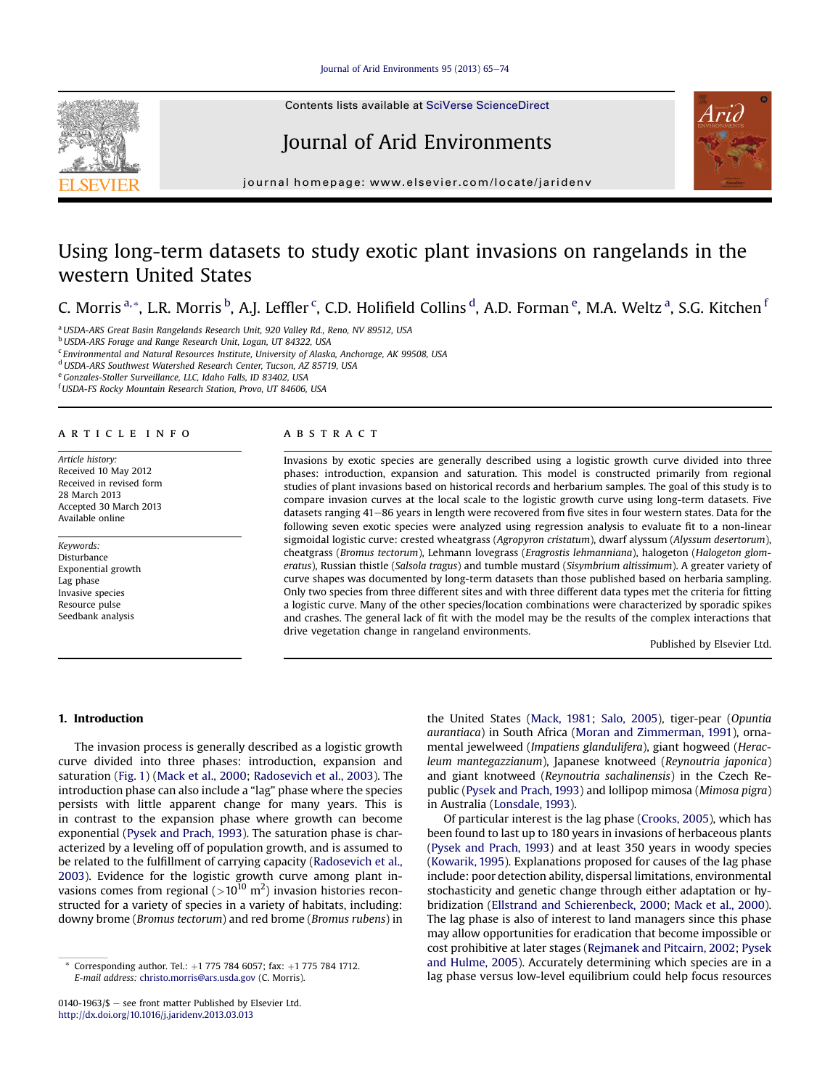## [Journal of Arid Environments 95 \(2013\) 65](http://dx.doi.org/10.1016/j.jaridenv.2013.03.013)-[74](http://dx.doi.org/10.1016/j.jaridenv.2013.03.013)

Contents lists available at [SciVerse ScienceDirect](www.sciencedirect.com/science/journal/01401963)

# Journal of Arid Environments



journal homepage: [www.elsevier.com/locate/jaridenv](http://www.elsevier.com/locate/jaridenv)

# Using long-term datasets to study exotic plant invasions on rangelands in the western United States

C. Morris <sup>a,</sup>\*, L.R. Morris <sup>b</sup>, A.J. Leffler <sup>c</sup>, C.D. Holifield Collins <sup>d</sup>, A.D. Forman <sup>e</sup>, M.A. Weltz <sup>a</sup>, S.G. Kitchen <sup>i</sup>

<sup>a</sup> USDA-ARS Great Basin Rangelands Research Unit, 920 Valley Rd., Reno, NV 89512, USA

b USDA-ARS Forage and Range Research Unit, Logan, UT 84322, USA

<sup>c</sup> Environmental and Natural Resources Institute, University of Alaska, Anchorage, AK 99508, USA

<sup>d</sup>USDA-ARS Southwest Watershed Research Center, Tucson, AZ 85719, USA

e Gonzales-Stoller Surveillance, LLC, Idaho Falls, ID 83402, USA

<sup>f</sup> USDA-FS Rocky Mountain Research Station, Provo, UT 84606, USA

#### article info

Article history: Received 10 May 2012 Received in revised form 28 March 2013 Accepted 30 March 2013 Available online

Keywords: Disturbance Exponential growth Lag phase Invasive species Resource pulse Seedbank analysis

#### ABSTRACT

Invasions by exotic species are generally described using a logistic growth curve divided into three phases: introduction, expansion and saturation. This model is constructed primarily from regional studies of plant invasions based on historical records and herbarium samples. The goal of this study is to compare invasion curves at the local scale to the logistic growth curve using long-term datasets. Five datasets ranging 41–86 years in length were recovered from five sites in four western states. Data for the following seven exotic species were analyzed using regression analysis to evaluate fit to a non-linear sigmoidal logistic curve: crested wheatgrass (Agropyron cristatum), dwarf alyssum (Alyssum desertorum), cheatgrass (Bromus tectorum), Lehmann lovegrass (Eragrostis lehmanniana), halogeton (Halogeton glomeratus), Russian thistle (Salsola tragus) and tumble mustard (Sisymbrium altissimum). A greater variety of curve shapes was documented by long-term datasets than those published based on herbaria sampling. Only two species from three different sites and with three different data types met the criteria for fitting a logistic curve. Many of the other species/location combinations were characterized by sporadic spikes and crashes. The general lack of fit with the model may be the results of the complex interactions that drive vegetation change in rangeland environments.

Published by Elsevier Ltd.

# 1. Introduction

The invasion process is generally described as a logistic growth curve divided into three phases: introduction, expansion and saturation [\(Fig. 1](#page-1-0)) ([Mack et al., 2000;](#page-8-0) [Radosevich et al., 2003](#page-9-0)). The introduction phase can also include a "lag" phase where the species persists with little apparent change for many years. This is in contrast to the expansion phase where growth can become exponential ([Pysek and Prach, 1993\)](#page-9-0). The saturation phase is characterized by a leveling off of population growth, and is assumed to be related to the fulfillment of carrying capacity ([Radosevich et al.,](#page-9-0) [2003\)](#page-9-0). Evidence for the logistic growth curve among plant invasions comes from regional ( $>$ 10<sup>10</sup> m<sup>2</sup>) invasion histories reconstructed for a variety of species in a variety of habitats, including: downy brome (Bromus tectorum) and red brome (Bromus rubens) in the United States [\(Mack, 1981;](#page-8-0) [Salo, 2005\)](#page-9-0), tiger-pear (Opuntia aurantiaca) in South Africa ([Moran and Zimmerman, 1991](#page-8-0)), ornamental jewelweed (Impatiens glandulifera), giant hogweed (Heracleum mantegazzianum), Japanese knotweed (Reynoutria japonica) and giant knotweed (Reynoutria sachalinensis) in the Czech Republic ([Pysek and Prach, 1993\)](#page-9-0) and lollipop mimosa (Mimosa pigra) in Australia [\(Lonsdale, 1993\)](#page-8-0).

Of particular interest is the lag phase ([Crooks, 2005\)](#page-8-0), which has been found to last up to 180 years in invasions of herbaceous plants ([Pysek and Prach, 1993\)](#page-9-0) and at least 350 years in woody species ([Kowarik, 1995\)](#page-8-0). Explanations proposed for causes of the lag phase include: poor detection ability, dispersal limitations, environmental stochasticity and genetic change through either adaptation or hybridization ([Ellstrand and Schierenbeck, 2000](#page-8-0); [Mack et al., 2000\)](#page-8-0). The lag phase is also of interest to land managers since this phase may allow opportunities for eradication that become impossible or cost prohibitive at later stages ([Rejmanek and Pitcairn, 2002](#page-9-0); [Pysek](#page-9-0) [and Hulme, 2005\)](#page-9-0). Accurately determining which species are in a lag phase versus low-level equilibrium could help focus resources

Corresponding author. Tel.:  $+1$  775 784 6057; fax:  $+1$  775 784 1712. E-mail address: [christo.morris@ars.usda.gov](mailto:christo.morris@ars.usda.gov) (C. Morris).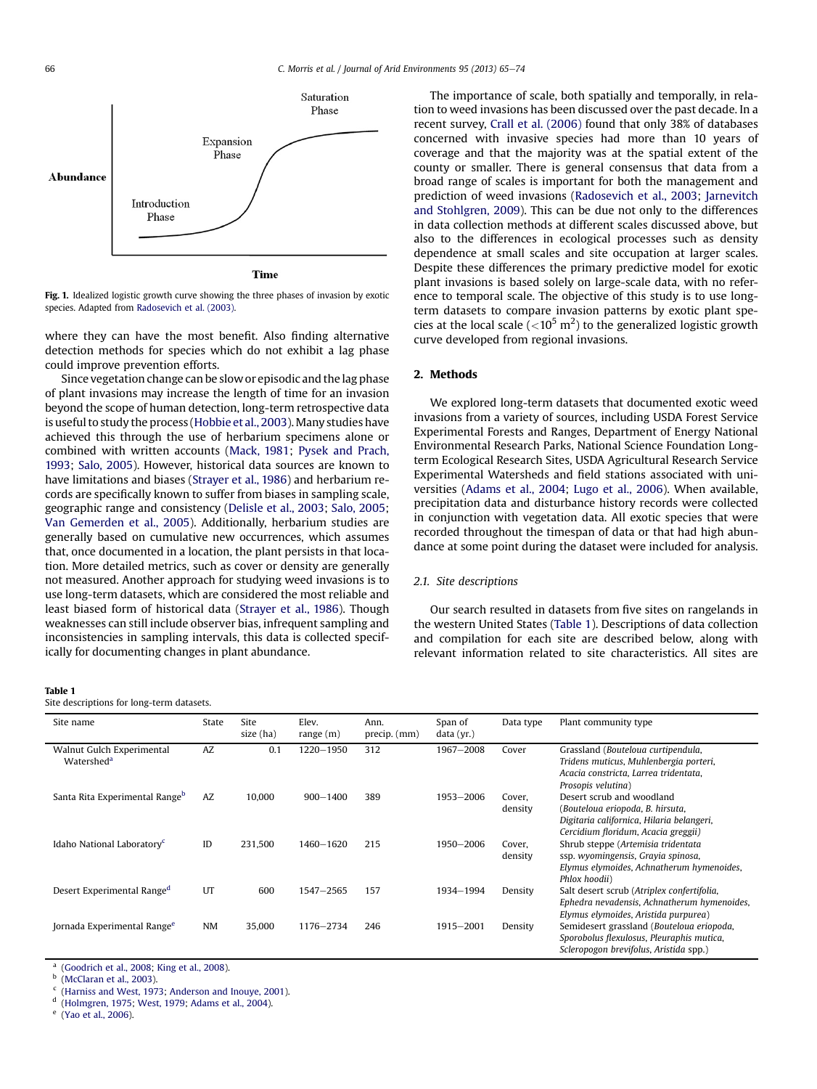<span id="page-1-0"></span>

Fig. 1. Idealized logistic growth curve showing the three phases of invasion by exotic species. Adapted from [Radosevich et al. \(2003\).](#page-9-0)

where they can have the most benefit. Also finding alternative detection methods for species which do not exhibit a lag phase could improve prevention efforts.

Since vegetation change can be slow or episodic and the lag phase of plant invasions may increase the length of time for an invasion beyond the scope of human detection, long-term retrospective data is useful to study the process ([Hobbie et al., 2003](#page-8-0)). Many studies have achieved this through the use of herbarium specimens alone or combined with written accounts [\(Mack, 1981](#page-8-0); [Pysek and Prach,](#page-9-0) [1993](#page-9-0); [Salo, 2005\)](#page-9-0). However, historical data sources are known to have limitations and biases [\(Strayer et al., 1986](#page-9-0)) and herbarium records are specifically known to suffer from biases in sampling scale, geographic range and consistency ([Delisle et al., 2003](#page-8-0); [Salo, 2005](#page-9-0); [Van Gemerden et al., 2005](#page-9-0)). Additionally, herbarium studies are generally based on cumulative new occurrences, which assumes that, once documented in a location, the plant persists in that location. More detailed metrics, such as cover or density are generally not measured. Another approach for studying weed invasions is to use long-term datasets, which are considered the most reliable and least biased form of historical data ([Strayer et al., 1986\)](#page-9-0). Though weaknesses can still include observer bias, infrequent sampling and inconsistencies in sampling intervals, this data is collected specifically for documenting changes in plant abundance.

#### Table 1

Site descriptions for long-term datasets.

The importance of scale, both spatially and temporally, in relation to weed invasions has been discussed over the past decade. In a recent survey, [Crall et al. \(2006\)](#page-8-0) found that only 38% of databases concerned with invasive species had more than 10 years of coverage and that the majority was at the spatial extent of the county or smaller. There is general consensus that data from a broad range of scales is important for both the management and prediction of weed invasions [\(Radosevich et al., 2003;](#page-9-0) [Jarnevitch](#page-8-0) [and Stohlgren, 2009](#page-8-0)). This can be due not only to the differences in data collection methods at different scales discussed above, but also to the differences in ecological processes such as density dependence at small scales and site occupation at larger scales. Despite these differences the primary predictive model for exotic plant invasions is based solely on large-scale data, with no reference to temporal scale. The objective of this study is to use longterm datasets to compare invasion patterns by exotic plant species at the local scale ( ${<}10^5$  m<sup>2</sup>) to the generalized logistic growth curve developed from regional invasions.

## 2. Methods

We explored long-term datasets that documented exotic weed invasions from a variety of sources, including USDA Forest Service Experimental Forests and Ranges, Department of Energy National Environmental Research Parks, National Science Foundation Longterm Ecological Research Sites, USDA Agricultural Research Service Experimental Watersheds and field stations associated with universities ([Adams et al., 2004](#page-8-0); [Lugo et al., 2006](#page-8-0)). When available, precipitation data and disturbance history records were collected in conjunction with vegetation data. All exotic species that were recorded throughout the timespan of data or that had high abundance at some point during the dataset were included for analysis.

## 2.1. Site descriptions

Our search resulted in datasets from five sites on rangelands in the western United States (Table 1). Descriptions of data collection and compilation for each site are described below, along with relevant information related to site characteristics. All sites are

| Site name                                           | State | <b>Site</b><br>size (ha) | Elev.<br>range $(m)$ | Ann.<br>precip. (mm) | Span of<br>data (yr.) | Data type         | Plant community type                                                                                                                              |
|-----------------------------------------------------|-------|--------------------------|----------------------|----------------------|-----------------------|-------------------|---------------------------------------------------------------------------------------------------------------------------------------------------|
| Walnut Gulch Experimental<br>Watershed <sup>a</sup> | AZ    | 0.1                      | 1220 - 1950          | 312                  | 1967-2008             | Cover             | Grassland (Bouteloua curtipendula,<br>Tridens muticus, Muhlenbergia porteri,<br>Acacia constricta, Larrea tridentata,<br>Prosopis velutina)       |
| Santa Rita Experimental Range <sup>b</sup>          | AZ    | 10,000                   | $900 - 1400$         | 389                  | 1953-2006             | Cover,<br>density | Desert scrub and woodland<br>(Bouteloua eriopoda, B. hirsuta,<br>Digitaria californica, Hilaria belangeri,<br>Cercidium floridum, Acacia greggii) |
| Idaho National Laboratory <sup>c</sup>              | ID    | 231,500                  | 1460-1620            | 215                  | 1950-2006             | Cover.<br>density | Shrub steppe (Artemisia tridentata<br>ssp. wyomingensis, Grayia spinosa,<br>Elymus elymoides, Achnatherum hymenoides,<br>Phlox hoodii)            |
| Desert Experimental Range <sup>d</sup>              | UT    | 600                      | $1547 - 2565$        | 157                  | 1934-1994             | Density           | Salt desert scrub (Atriplex confertifolia,<br>Ephedra nevadensis, Achnatherum hymenoides,<br>Elymus elymoides, Aristida purpurea)                 |
| Jornada Experimental Range <sup>e</sup>             | NM    | 35,000                   | 1176-2734            | 246                  | 1915-2001             | Density           | Semidesert grassland (Bouteloua eriopoda,<br>Sporobolus flexulosus, Pleuraphis mutica,<br>Scleropogon brevifolus, Aristida spp.)                  |

<sup>a</sup> [\(Goodrich et al., 2008](#page-8-0); [King et al., 2008\)](#page-8-0).

[\(McClaran et al., 2003](#page-8-0)).

<sup>c</sup> [\(Harniss and West, 1973;](#page-8-0) [Anderson and Inouye, 2001\)](#page-8-0).<br><sup>d</sup> (Holmgren, 1975; West, 1979; Adams et al. 2004).

[\(Holmgren, 1975](#page-8-0); [West, 1979;](#page-9-0) [Adams et al., 2004](#page-8-0)).

<sup>e</sup> [\(Yao et al., 2006\)](#page-9-0).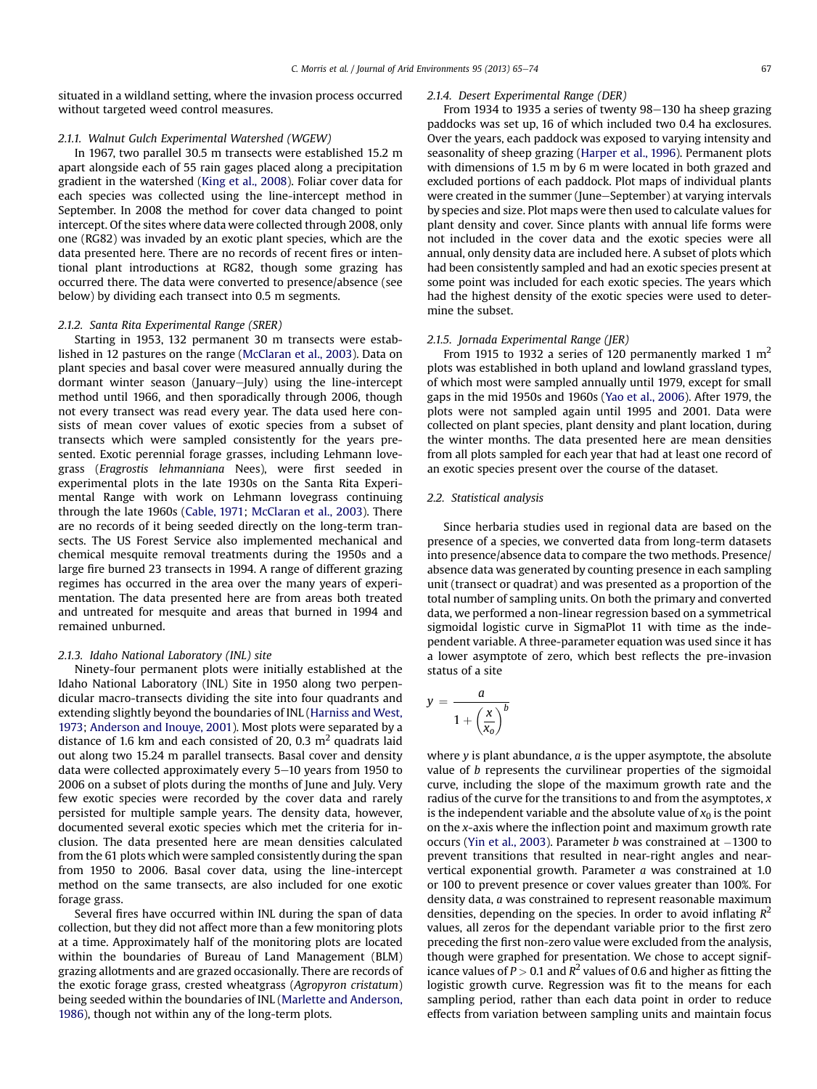situated in a wildland setting, where the invasion process occurred without targeted weed control measures.

# 2.1.1. Walnut Gulch Experimental Watershed (WGEW)

In 1967, two parallel 30.5 m transects were established 15.2 m apart alongside each of 55 rain gages placed along a precipitation gradient in the watershed [\(King et al., 2008](#page-8-0)). Foliar cover data for each species was collected using the line-intercept method in September. In 2008 the method for cover data changed to point intercept. Of the sites where data were collected through 2008, only one (RG82) was invaded by an exotic plant species, which are the data presented here. There are no records of recent fires or intentional plant introductions at RG82, though some grazing has occurred there. The data were converted to presence/absence (see below) by dividing each transect into 0.5 m segments.

#### 2.1.2. Santa Rita Experimental Range (SRER)

Starting in 1953, 132 permanent 30 m transects were established in 12 pastures on the range ([McClaran et al., 2003\)](#page-8-0). Data on plant species and basal cover were measured annually during the dormant winter season (January-July) using the line-intercept method until 1966, and then sporadically through 2006, though not every transect was read every year. The data used here consists of mean cover values of exotic species from a subset of transects which were sampled consistently for the years presented. Exotic perennial forage grasses, including Lehmann lovegrass (Eragrostis lehmanniana Nees), were first seeded in experimental plots in the late 1930s on the Santa Rita Experimental Range with work on Lehmann lovegrass continuing through the late 1960s [\(Cable, 1971;](#page-8-0) [McClaran et al., 2003](#page-8-0)). There are no records of it being seeded directly on the long-term transects. The US Forest Service also implemented mechanical and chemical mesquite removal treatments during the 1950s and a large fire burned 23 transects in 1994. A range of different grazing regimes has occurred in the area over the many years of experimentation. The data presented here are from areas both treated and untreated for mesquite and areas that burned in 1994 and remained unburned.

## 2.1.3. Idaho National Laboratory (INL) site

Ninety-four permanent plots were initially established at the Idaho National Laboratory (INL) Site in 1950 along two perpendicular macro-transects dividing the site into four quadrants and extending slightly beyond the boundaries of INL [\(Harniss and West,](#page-8-0) [1973;](#page-8-0) [Anderson and Inouye, 2001](#page-8-0)). Most plots were separated by a distance of 1.6 km and each consisted of 20, 0.3  $m<sup>2</sup>$  quadrats laid out along two 15.24 m parallel transects. Basal cover and density data were collected approximately every 5-10 years from 1950 to 2006 on a subset of plots during the months of June and July. Very few exotic species were recorded by the cover data and rarely persisted for multiple sample years. The density data, however, documented several exotic species which met the criteria for inclusion. The data presented here are mean densities calculated from the 61 plots which were sampled consistently during the span from 1950 to 2006. Basal cover data, using the line-intercept method on the same transects, are also included for one exotic forage grass.

Several fires have occurred within INL during the span of data collection, but they did not affect more than a few monitoring plots at a time. Approximately half of the monitoring plots are located within the boundaries of Bureau of Land Management (BLM) grazing allotments and are grazed occasionally. There are records of the exotic forage grass, crested wheatgrass (Agropyron cristatum) being seeded within the boundaries of INL [\(Marlette and Anderson,](#page-8-0) [1986\)](#page-8-0), though not within any of the long-term plots.

#### 2.1.4. Desert Experimental Range (DER)

From 1934 to 1935 a series of twenty  $98-130$  ha sheep grazing paddocks was set up, 16 of which included two 0.4 ha exclosures. Over the years, each paddock was exposed to varying intensity and seasonality of sheep grazing ([Harper et al., 1996\)](#page-8-0). Permanent plots with dimensions of 1.5 m by 6 m were located in both grazed and excluded portions of each paddock. Plot maps of individual plants were created in the summer (June–September) at varying intervals by species and size. Plot maps were then used to calculate values for plant density and cover. Since plants with annual life forms were not included in the cover data and the exotic species were all annual, only density data are included here. A subset of plots which had been consistently sampled and had an exotic species present at some point was included for each exotic species. The years which had the highest density of the exotic species were used to determine the subset.

### 2.1.5. Jornada Experimental Range (JER)

From 1915 to 1932 a series of 120 permanently marked 1  $m<sup>2</sup>$ plots was established in both upland and lowland grassland types, of which most were sampled annually until 1979, except for small gaps in the mid 1950s and 1960s ([Yao et al., 2006](#page-9-0)). After 1979, the plots were not sampled again until 1995 and 2001. Data were collected on plant species, plant density and plant location, during the winter months. The data presented here are mean densities from all plots sampled for each year that had at least one record of an exotic species present over the course of the dataset.

## 2.2. Statistical analysis

Since herbaria studies used in regional data are based on the presence of a species, we converted data from long-term datasets into presence/absence data to compare the two methods. Presence/ absence data was generated by counting presence in each sampling unit (transect or quadrat) and was presented as a proportion of the total number of sampling units. On both the primary and converted data, we performed a non-linear regression based on a symmetrical sigmoidal logistic curve in SigmaPlot 11 with time as the independent variable. A three-parameter equation was used since it has a lower asymptote of zero, which best reflects the pre-invasion status of a site

$$
y = \frac{a}{1 + \left(\frac{x}{x_0}\right)^b}
$$

where  $y$  is plant abundance,  $a$  is the upper asymptote, the absolute value of b represents the curvilinear properties of the sigmoidal curve, including the slope of the maximum growth rate and the radius of the curve for the transitions to and from the asymptotes,  $x$ is the independent variable and the absolute value of  $x_0$  is the point on the x-axis where the inflection point and maximum growth rate occurs [\(Yin et al., 2003](#page-9-0)). Parameter  $b$  was constrained at  $-1300$  to prevent transitions that resulted in near-right angles and nearvertical exponential growth. Parameter a was constrained at 1.0 or 100 to prevent presence or cover values greater than 100%. For density data, a was constrained to represent reasonable maximum densities, depending on the species. In order to avoid inflating  $R^2$ values, all zeros for the dependant variable prior to the first zero preceding the first non-zero value were excluded from the analysis, though were graphed for presentation. We chose to accept significance values of  $P > 0.1$  and  $R^2$  values of 0.6 and higher as fitting the logistic growth curve. Regression was fit to the means for each sampling period, rather than each data point in order to reduce effects from variation between sampling units and maintain focus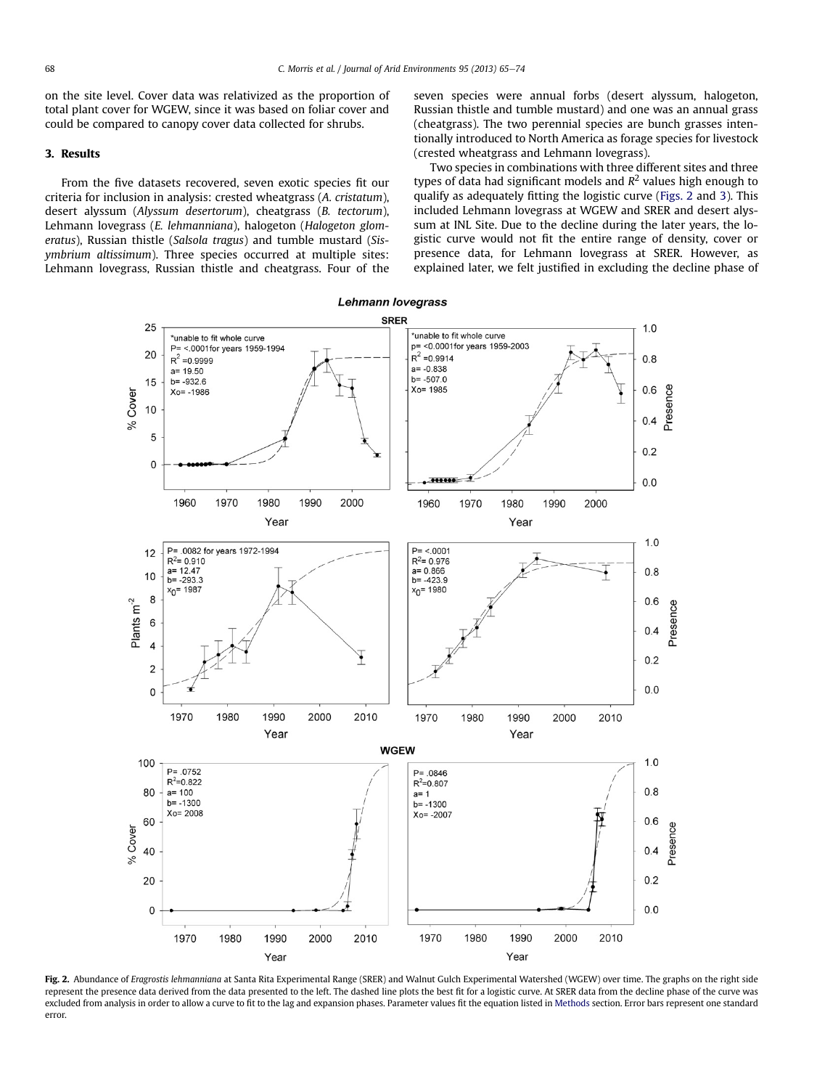<span id="page-3-0"></span>on the site level. Cover data was relativized as the proportion of total plant cover for WGEW, since it was based on foliar cover and could be compared to canopy cover data collected for shrubs.

#### 3. Results

From the five datasets recovered, seven exotic species fit our criteria for inclusion in analysis: crested wheatgrass (A. cristatum), desert alyssum (Alyssum desertorum), cheatgrass (B. tectorum), Lehmann lovegrass (E. lehmanniana), halogeton (Halogeton glomeratus), Russian thistle (Salsola tragus) and tumble mustard (Sisymbrium altissimum). Three species occurred at multiple sites: Lehmann lovegrass, Russian thistle and cheatgrass. Four of the seven species were annual forbs (desert alyssum, halogeton, Russian thistle and tumble mustard) and one was an annual grass (cheatgrass). The two perennial species are bunch grasses intentionally introduced to North America as forage species for livestock (crested wheatgrass and Lehmann lovegrass).

Two species in combinations with three different sites and three types of data had significant models and  $R^2$  values high enough to qualify as adequately fitting the logistic curve (Figs. 2 and [3\)](#page-4-0). This included Lehmann lovegrass at WGEW and SRER and desert alyssum at INL Site. Due to the decline during the later years, the logistic curve would not fit the entire range of density, cover or presence data, for Lehmann lovegrass at SRER. However, as explained later, we felt justified in excluding the decline phase of



Fig. 2. Abundance of Eragrostis lehmanniana at Santa Rita Experimental Range (SRER) and Walnut Gulch Experimental Watershed (WGEW) over time. The graphs on the right side represent the presence data derived from the data presented to the left. The dashed line plots the best fit for a logistic curve. At SRER data from the decline phase of the curve was excluded from analysis in order to allow a curve to fit to the lag and expansion phases. Parameter values fit the equation listed in [Methods](#page-1-0) section. Error bars represent one standard error.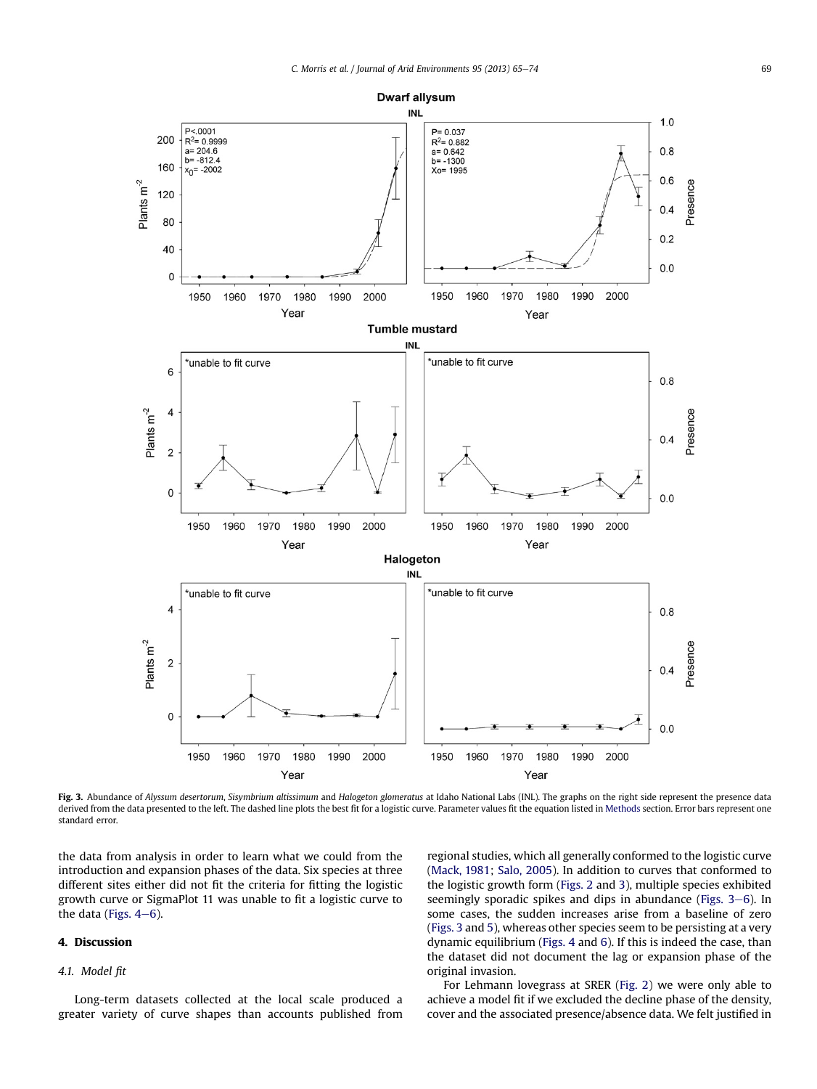<span id="page-4-0"></span>

Fig. 3. Abundance of Alyssum desertorum, Sisymbrium altissimum and Halogeton glomeratus at Idaho National Labs (INL). The graphs on the right side represent the presence data derived from the data presented to the left. The dashed line plots the best fit for a logistic curve. Parameter values fit the equation listed in [Methods](#page-1-0) section. Error bars represent one standard error.

the data from analysis in order to learn what we could from the introduction and expansion phases of the data. Six species at three different sites either did not fit the criteria for fitting the logistic growth curve or SigmaPlot 11 was unable to fit a logistic curve to the data (Figs.  $4-6$ ).

# 4. Discussion

## 4.1. Model fit

Long-term datasets collected at the local scale produced a greater variety of curve shapes than accounts published from regional studies, which all generally conformed to the logistic curve ([Mack, 1981](#page-8-0); [Salo, 2005\)](#page-9-0). In addition to curves that conformed to the logistic growth form ([Figs. 2](#page-3-0) and 3), multiple species exhibited seemingly sporadic spikes and dips in abundance (Figs.  $3-6$ ). In some cases, the sudden increases arise from a baseline of zero (Figs. 3 and [5\)](#page-6-0), whereas other species seem to be persisting at a very dynamic equilibrium ([Figs. 4](#page-5-0) and [6\)](#page-7-0). If this is indeed the case, than the dataset did not document the lag or expansion phase of the original invasion.

For Lehmann lovegrass at SRER ([Fig. 2](#page-3-0)) we were only able to achieve a model fit if we excluded the decline phase of the density, cover and the associated presence/absence data. We felt justified in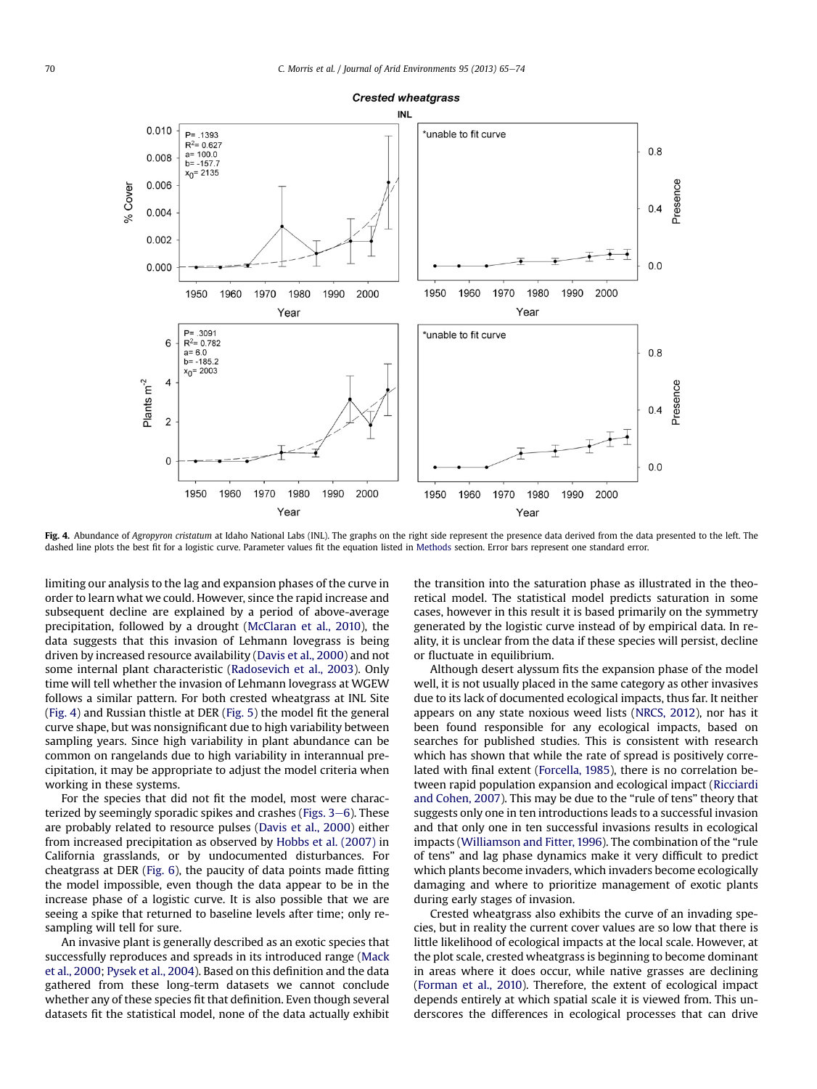<span id="page-5-0"></span>

Fig. 4. Abundance of Agropyron cristatum at Idaho National Labs (INL). The graphs on the right side represent the presence data derived from the data presented to the left. The dashed line plots the best fit for a logistic curve. Parameter values fit the equation listed in [Methods](#page-1-0) section. Error bars represent one standard error.

limiting our analysis to the lag and expansion phases of the curve in order to learn what we could. However, since the rapid increase and subsequent decline are explained by a period of above-average precipitation, followed by a drought ([McClaran et al., 2010\)](#page-8-0), the data suggests that this invasion of Lehmann lovegrass is being driven by increased resource availability ([Davis et al., 2000\)](#page-8-0) and not some internal plant characteristic ([Radosevich et al., 2003](#page-9-0)). Only time will tell whether the invasion of Lehmann lovegrass at WGEW follows a similar pattern. For both crested wheatgrass at INL Site (Fig. 4) and Russian thistle at DER ([Fig. 5\)](#page-6-0) the model fit the general curve shape, but was nonsignificant due to high variability between sampling years. Since high variability in plant abundance can be common on rangelands due to high variability in interannual precipitation, it may be appropriate to adjust the model criteria when working in these systems.

For the species that did not fit the model, most were characterized by seemingly sporadic spikes and crashes (Figs.  $3-6$  $3-6$ ). These are probably related to resource pulses ([Davis et al., 2000](#page-8-0)) either from increased precipitation as observed by [Hobbs et al. \(2007\)](#page-8-0) in California grasslands, or by undocumented disturbances. For cheatgrass at DER ([Fig. 6](#page-7-0)), the paucity of data points made fitting the model impossible, even though the data appear to be in the increase phase of a logistic curve. It is also possible that we are seeing a spike that returned to baseline levels after time; only resampling will tell for sure.

An invasive plant is generally described as an exotic species that successfully reproduces and spreads in its introduced range ([Mack](#page-8-0) [et al., 2000](#page-8-0); [Pysek et al., 2004\)](#page-9-0). Based on this definition and the data gathered from these long-term datasets we cannot conclude whether any of these species fit that definition. Even though several datasets fit the statistical model, none of the data actually exhibit the transition into the saturation phase as illustrated in the theoretical model. The statistical model predicts saturation in some cases, however in this result it is based primarily on the symmetry generated by the logistic curve instead of by empirical data. In reality, it is unclear from the data if these species will persist, decline or fluctuate in equilibrium.

Although desert alyssum fits the expansion phase of the model well, it is not usually placed in the same category as other invasives due to its lack of documented ecological impacts, thus far. It neither appears on any state noxious weed lists [\(NRCS, 2012](#page-8-0)), nor has it been found responsible for any ecological impacts, based on searches for published studies. This is consistent with research which has shown that while the rate of spread is positively correlated with final extent [\(Forcella, 1985\)](#page-8-0), there is no correlation between rapid population expansion and ecological impact [\(Ricciardi](#page-9-0) [and Cohen, 2007\)](#page-9-0). This may be due to the "rule of tens" theory that suggests only one in ten introductions leads to a successful invasion and that only one in ten successful invasions results in ecological impacts [\(Williamson and Fitter, 1996\)](#page-9-0). The combination of the "rule of tens" and lag phase dynamics make it very difficult to predict which plants become invaders, which invaders become ecologically damaging and where to prioritize management of exotic plants during early stages of invasion.

Crested wheatgrass also exhibits the curve of an invading species, but in reality the current cover values are so low that there is little likelihood of ecological impacts at the local scale. However, at the plot scale, crested wheatgrass is beginning to become dominant in areas where it does occur, while native grasses are declining ([Forman et al., 2010\)](#page-8-0). Therefore, the extent of ecological impact depends entirely at which spatial scale it is viewed from. This underscores the differences in ecological processes that can drive

# **Crested wheatgrass**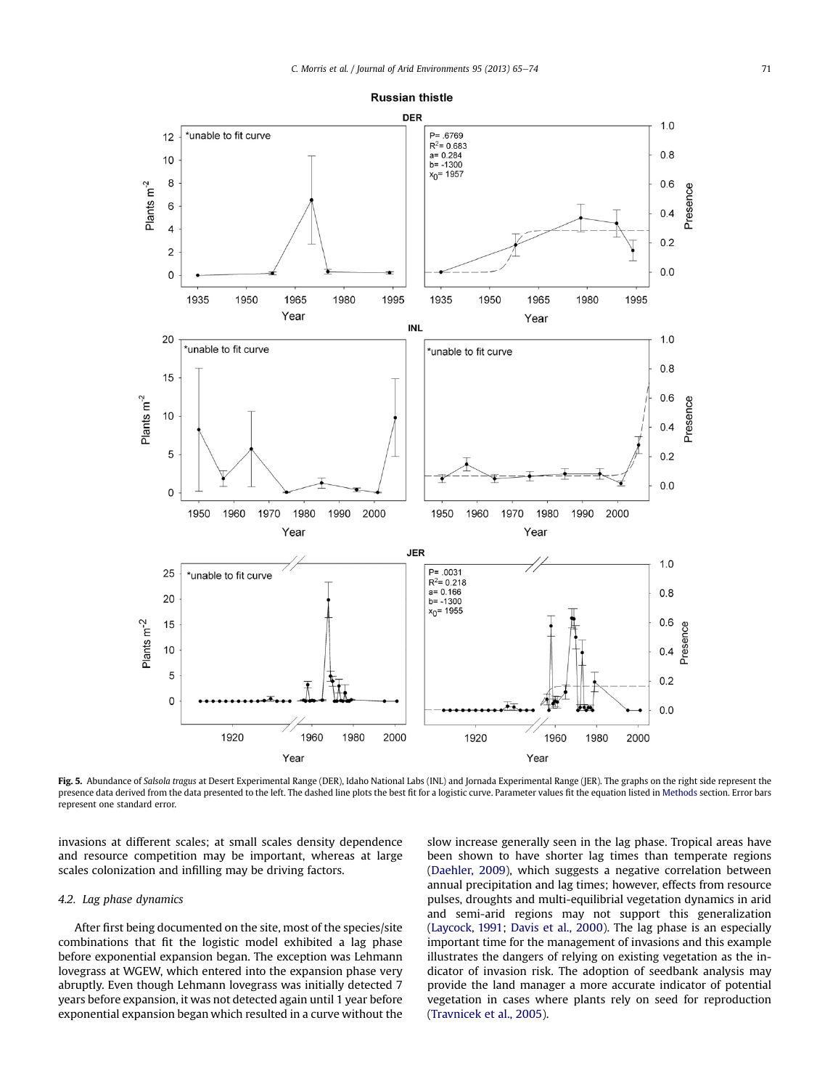<span id="page-6-0"></span>

Fig. 5. Abundance of Salsola tragus at Desert Experimental Range (DER), Idaho National Labs (INL) and Jornada Experimental Range (JER). The graphs on the right side represent the presence data derived from the data presented to the left. The dashed line plots the best fit for a logistic curve. Parameter values fit the equation listed in [Methods](#page-1-0) section. Error bars represent one standard error.

invasions at different scales; at small scales density dependence and resource competition may be important, whereas at large scales colonization and infilling may be driving factors.

## 4.2. Lag phase dynamics

After first being documented on the site, most of the species/site combinations that fit the logistic model exhibited a lag phase before exponential expansion began. The exception was Lehmann lovegrass at WGEW, which entered into the expansion phase very abruptly. Even though Lehmann lovegrass was initially detected 7 years before expansion, it was not detected again until 1 year before exponential expansion began which resulted in a curve without the slow increase generally seen in the lag phase. Tropical areas have been shown to have shorter lag times than temperate regions ([Daehler, 2009\)](#page-8-0), which suggests a negative correlation between annual precipitation and lag times; however, effects from resource pulses, droughts and multi-equilibrial vegetation dynamics in arid and semi-arid regions may not support this generalization ([Laycock, 1991;](#page-8-0) [Davis et al., 2000\)](#page-8-0). The lag phase is an especially important time for the management of invasions and this example illustrates the dangers of relying on existing vegetation as the indicator of invasion risk. The adoption of seedbank analysis may provide the land manager a more accurate indicator of potential vegetation in cases where plants rely on seed for reproduction ([Travnicek et al., 2005](#page-9-0)).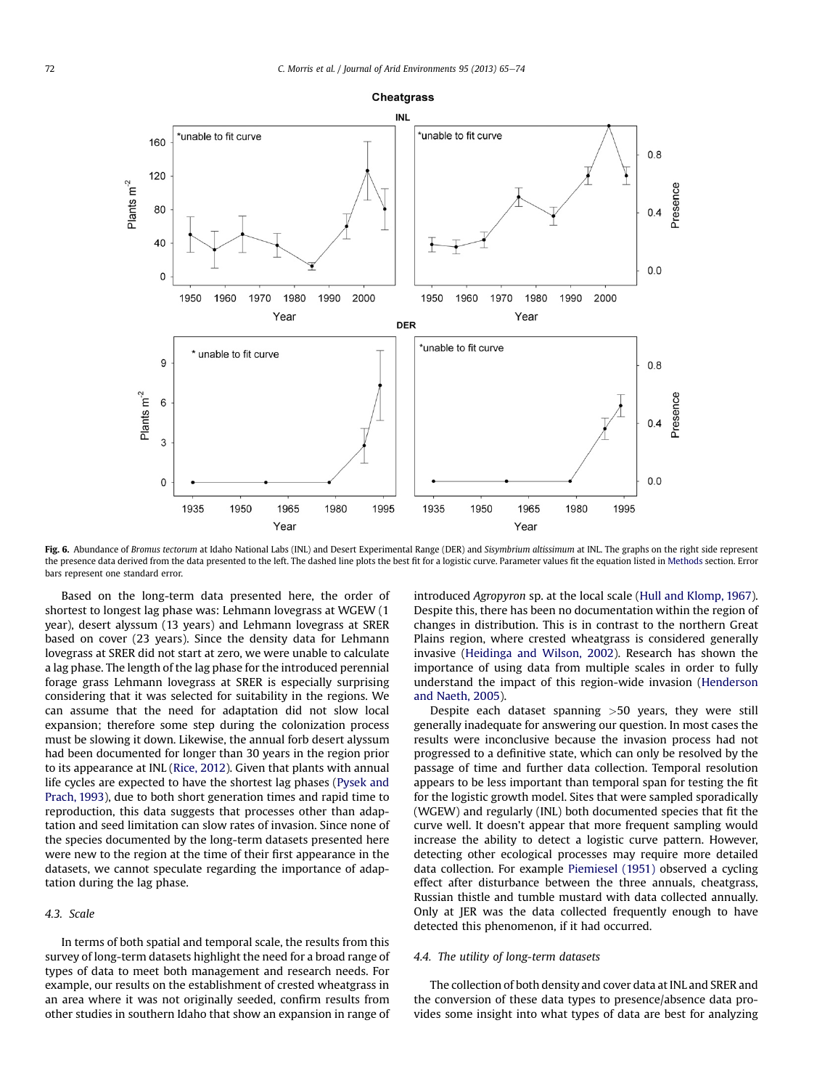<span id="page-7-0"></span>

Fig. 6. Abundance of Bromus tectorum at Idaho National Labs (INL) and Desert Experimental Range (DER) and Sisymbrium altissimum at INL. The graphs on the right side represent the presence data derived from the data presented to the left. The dashed line plots the best fit for a logistic curve. Parameter values fit the equation listed in [Methods](#page-1-0) section. Error bars represent one standard error.

Based on the long-term data presented here, the order of shortest to longest lag phase was: Lehmann lovegrass at WGEW (1 year), desert alyssum (13 years) and Lehmann lovegrass at SRER based on cover (23 years). Since the density data for Lehmann lovegrass at SRER did not start at zero, we were unable to calculate a lag phase. The length of the lag phase for the introduced perennial forage grass Lehmann lovegrass at SRER is especially surprising considering that it was selected for suitability in the regions. We can assume that the need for adaptation did not slow local expansion; therefore some step during the colonization process must be slowing it down. Likewise, the annual forb desert alyssum had been documented for longer than 30 years in the region prior to its appearance at INL [\(Rice, 2012\)](#page-9-0). Given that plants with annual life cycles are expected to have the shortest lag phases ([Pysek and](#page-9-0) [Prach, 1993\)](#page-9-0), due to both short generation times and rapid time to reproduction, this data suggests that processes other than adaptation and seed limitation can slow rates of invasion. Since none of the species documented by the long-term datasets presented here were new to the region at the time of their first appearance in the datasets, we cannot speculate regarding the importance of adaptation during the lag phase.

## 4.3. Scale

In terms of both spatial and temporal scale, the results from this survey of long-term datasets highlight the need for a broad range of types of data to meet both management and research needs. For example, our results on the establishment of crested wheatgrass in an area where it was not originally seeded, confirm results from other studies in southern Idaho that show an expansion in range of introduced Agropyron sp. at the local scale [\(Hull and Klomp, 1967\)](#page-8-0). Despite this, there has been no documentation within the region of changes in distribution. This is in contrast to the northern Great Plains region, where crested wheatgrass is considered generally invasive [\(Heidinga and Wilson, 2002\)](#page-8-0). Research has shown the importance of using data from multiple scales in order to fully understand the impact of this region-wide invasion ([Henderson](#page-8-0) [and Naeth, 2005\)](#page-8-0).

Despite each dataset spanning >50 years, they were still generally inadequate for answering our question. In most cases the results were inconclusive because the invasion process had not progressed to a definitive state, which can only be resolved by the passage of time and further data collection. Temporal resolution appears to be less important than temporal span for testing the fit for the logistic growth model. Sites that were sampled sporadically (WGEW) and regularly (INL) both documented species that fit the curve well. It doesn't appear that more frequent sampling would increase the ability to detect a logistic curve pattern. However, detecting other ecological processes may require more detailed data collection. For example [Piemiesel \(1951\)](#page-9-0) observed a cycling effect after disturbance between the three annuals, cheatgrass, Russian thistle and tumble mustard with data collected annually. Only at JER was the data collected frequently enough to have detected this phenomenon, if it had occurred.

#### 4.4. The utility of long-term datasets

The collection of both density and cover data at INL and SRER and the conversion of these data types to presence/absence data provides some insight into what types of data are best for analyzing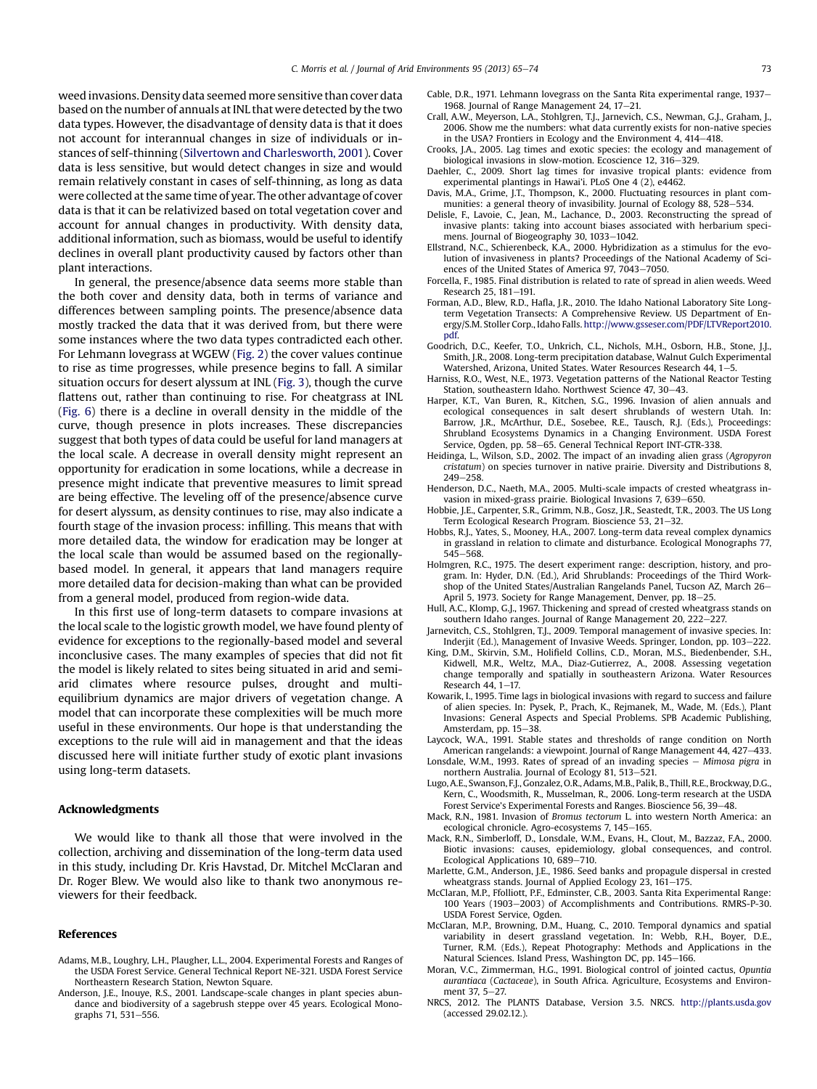<span id="page-8-0"></span>weed invasions. Density data seemed more sensitive than cover data based on the number of annuals at INL that were detected by the two data types. However, the disadvantage of density data is that it does not account for interannual changes in size of individuals or instances of self-thinning [\(Silvertown and Charlesworth, 2001](#page-9-0)). Cover data is less sensitive, but would detect changes in size and would remain relatively constant in cases of self-thinning, as long as data were collected at the same time of year. The other advantage of cover data is that it can be relativized based on total vegetation cover and account for annual changes in productivity. With density data, additional information, such as biomass, would be useful to identify declines in overall plant productivity caused by factors other than plant interactions.

In general, the presence/absence data seems more stable than the both cover and density data, both in terms of variance and differences between sampling points. The presence/absence data mostly tracked the data that it was derived from, but there were some instances where the two data types contradicted each other. For Lehmann lovegrass at WGEW ([Fig. 2](#page-3-0)) the cover values continue to rise as time progresses, while presence begins to fall. A similar situation occurs for desert alyssum at INL [\(Fig. 3](#page-4-0)), though the curve flattens out, rather than continuing to rise. For cheatgrass at INL ([Fig. 6\)](#page-7-0) there is a decline in overall density in the middle of the curve, though presence in plots increases. These discrepancies suggest that both types of data could be useful for land managers at the local scale. A decrease in overall density might represent an opportunity for eradication in some locations, while a decrease in presence might indicate that preventive measures to limit spread are being effective. The leveling off of the presence/absence curve for desert alyssum, as density continues to rise, may also indicate a fourth stage of the invasion process: infilling. This means that with more detailed data, the window for eradication may be longer at the local scale than would be assumed based on the regionallybased model. In general, it appears that land managers require more detailed data for decision-making than what can be provided from a general model, produced from region-wide data.

In this first use of long-term datasets to compare invasions at the local scale to the logistic growth model, we have found plenty of evidence for exceptions to the regionally-based model and several inconclusive cases. The many examples of species that did not fit the model is likely related to sites being situated in arid and semiarid climates where resource pulses, drought and multiequilibrium dynamics are major drivers of vegetation change. A model that can incorporate these complexities will be much more useful in these environments. Our hope is that understanding the exceptions to the rule will aid in management and that the ideas discussed here will initiate further study of exotic plant invasions using long-term datasets.

## Acknowledgments

We would like to thank all those that were involved in the collection, archiving and dissemination of the long-term data used in this study, including Dr. Kris Havstad, Dr. Mitchel McClaran and Dr. Roger Blew. We would also like to thank two anonymous reviewers for their feedback.

#### References

- Adams, M.B., Loughry, L.H., Plaugher, L.L., 2004. Experimental Forests and Ranges of the USDA Forest Service. General Technical Report NE-321. USDA Forest Service Northeastern Research Station, Newton Square.
- Anderson, J.E., Inouye, R.S., 2001. Landscape-scale changes in plant species abundance and biodiversity of a sagebrush steppe over 45 years. Ecological Monographs 71, 531-556.
- Cable, D.R., 1971. Lehmann lovegrass on the Santa Rita experimental range, 1937– 1968. Journal of Range Management 24,  $17-21$ .
- Crall, A.W., Meyerson, L.A., Stohlgren, T.J., Jarnevich, C.S., Newman, G.J., Graham, J., 2006. Show me the numbers: what data currently exists for non-native species in the USA? Frontiers in Ecology and the Environment  $4.414-418$ .
- Crooks, J.A., 2005. Lag times and exotic species: the ecology and management of biological invasions in slow-motion. Ecoscience  $12.316 - 329$ .
- Daehler, C., 2009. Short lag times for invasive tropical plants: evidence from experimental plantings in Hawai'i. PLoS One 4 (2), e4462.
- Davis, M.A., Grime, J.T., Thompson, K., 2000. Fluctuating resources in plant communities: a general theory of invasibility. Journal of Ecology 88, 528-534.
- Delisle, F., Lavoie, C., Jean, M., Lachance, D., 2003. Reconstructing the spread of invasive plants: taking into account biases associated with herbarium specimens. Journal of Biogeography 30, 1033-1042.
- Ellstrand, N.C., Schierenbeck, K.A., 2000. Hybridization as a stimulus for the evolution of invasiveness in plants? Proceedings of the National Academy of Sciences of the United States of America  $97, 7043-7050$ .
- Forcella, F., 1985. Final distribution is related to rate of spread in alien weeds. Weed Research 25, 181-191.
- Forman, A.D., Blew, R.D., Hafla, J.R., 2010. The Idaho National Laboratory Site Longterm Vegetation Transects: A Comprehensive Review. US Department of Energy/S.M. Stoller Corp., Idaho Falls. [http://www.gsseser.com/PDF/LTVReport2010.](http://www.gsseser.com/PDF/LTVReport2010.pdf) [pdf](http://www.gsseser.com/PDF/LTVReport2010.pdf).
- Goodrich, D.C., Keefer, T.O., Unkrich, C.L., Nichols, M.H., Osborn, H.B., Stone, J.J., Smith, J.R., 2008. Long-term precipitation database, Walnut Gulch Experimental Watershed, Arizona, United States, Water Resources Research 44, 1-5.
- Harniss, R.O., West, N.E., 1973. Vegetation patterns of the National Reactor Testing Station, southeastern Idaho. Northwest Science 47, 30-43.
- Harper, K.T., Van Buren, R., Kitchen, S.G., 1996. Invasion of alien annuals and ecological consequences in salt desert shrublands of western Utah. In: Barrow, J.R., McArthur, D.E., Sosebee, R.E., Tausch, R.J. (Eds.), Proceedings: Shrubland Ecosystems Dynamics in a Changing Environment. USDA Forest Service, Ogden, pp. 58-65. General Technical Report INT-GTR-338.
- Heidinga, L., Wilson, S.D., 2002. The impact of an invading alien grass (Agropyron cristatum) on species turnover in native prairie. Diversity and Distributions 8, 249-258
- Henderson, D.C., Naeth, M.A., 2005. Multi-scale impacts of crested wheatgrass invasion in mixed-grass prairie. Biological Invasions 7, 639-650.
- Hobbie, J.E., Carpenter, S.R., Grimm, N.B., Gosz, J.R., Seastedt, T.R., 2003. The US Long Term Ecological Research Program. Bioscience 53, 21-32.
- Hobbs, R.J., Yates, S., Mooney, H.A., 2007. Long-term data reveal complex dynamics in grassland in relation to climate and disturbance. Ecological Monographs 77,  $545 - 568$ .
- Holmgren, R.C., 1975. The desert experiment range: description, history, and program. In: Hyder, D.N. (Ed.), Arid Shrublands: Proceedings of the Third Workshop of the United States/Australian Rangelands Panel, Tucson AZ, March 26-April 5, 1973. Society for Range Management, Denver, pp. 18-25.
- Hull, A.C., Klomp, G.J., 1967. Thickening and spread of crested wheatgrass stands on southern Idaho ranges. Journal of Range Management 20, 222-227.
- Jarnevitch, C.S., Stohlgren, T.J., 2009. Temporal management of invasive species. In: Inderjit (Ed.), Management of Invasive Weeds. Springer, London, pp. 103-222.
- King, D.M., Skirvin, S.M., Holifield Collins, C.D., Moran, M.S., Biedenbender, S.H., Kidwell, M.R., Weltz, M.A., Diaz-Gutierrez, A., 2008. Assessing vegetation change temporally and spatially in southeastern Arizona. Water Resources Research  $44.1 - 17$ .
- Kowarik, I., 1995. Time lags in biological invasions with regard to success and failure of alien species. In: Pysek, P., Prach, K., Rejmanek, M., Wade, M. (Eds.), Plant Invasions: General Aspects and Special Problems. SPB Academic Publishing, Amsterdam, pp. 15-38.
- Laycock, W.A., 1991. Stable states and thresholds of range condition on North American rangelands: a viewpoint. Journal of Range Management 44, 427-433.
- Lonsdale, W.M., 1993. Rates of spread of an invading species  $-$  Mimosa pigra in northern Australia. Journal of Ecology 81, 513-521.
- Lugo, A.E., Swanson, F.J., Gonzalez, O.R., Adams, M.B., Palik, B., Thill, R.E., Brockway, D.G., Kern, C., Woodsmith, R., Musselman, R., 2006. Long-term research at the USDA Forest Service's Experimental Forests and Ranges. Bioscience 56, 39-48.
- Mack, R.N., 1981. Invasion of Bromus tectorum L. into western North America: an ecological chronicle. Agro-ecosystems 7, 145-165.
- Mack, R.N., Simberloff, D., Lonsdale, W.M., Evans, H., Clout, M., Bazzaz, F.A., 2000. Biotic invasions: causes, epidemiology, global consequences, and control. Ecological Applications 10, 689-710.
- Marlette, G.M., Anderson, J.E., 1986. Seed banks and propagule dispersal in crested wheatgrass stands. Journal of Applied Ecology 23, 161-175.
- McClaran, M.P., Ffolliott, P.F., Edminster, C.B., 2003. Santa Rita Experimental Range: 100 Years (1903-2003) of Accomplishments and Contributions. RMRS-P-30. USDA Forest Service, Ogden.
- McClaran, M.P., Browning, D.M., Huang, C., 2010. Temporal dynamics and spatial variability in desert grassland vegetation. In: Webb, R.H., Boyer, D.E., Turner, R.M. (Eds.), Repeat Photography: Methods and Applications in the Natural Sciences. Island Press, Washington DC, pp. 145-166.
- Moran, V.C., Zimmerman, H.G., 1991. Biological control of jointed cactus, Opuntia aurantiaca (Cactaceae), in South Africa. Agriculture, Ecosystems and Environment 37, 5-27.
- NRCS, 2012. The PLANTS Database, Version 3.5. NRCS. <http://plants.usda.gov> (accessed 29.02.12.).